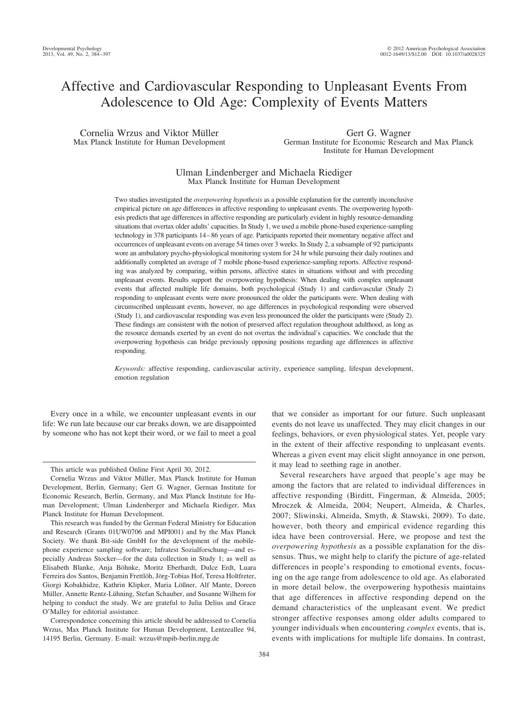# Affective and Cardiovascular Responding to Unpleasant Events From Adolescence to Old Age: Complexity of Events Matters

Cornelia Wrzus and Viktor Müller Max Planck Institute for Human Development

Gert G. Wagner German Institute for Economic Research and Max Planck Institute for Human Development

### Ulman Lindenberger and Michaela Riediger Max Planck Institute for Human Development

Two studies investigated the *overpowering hypothesis* as a possible explanation for the currently inconclusive empirical picture on age differences in affective responding to unpleasant events. The overpowering hypothesis predicts that age differences in affective responding are particularly evident in highly resource-demanding situations that overtax older adults' capacities. In Study 1, we used a mobile phone-based experience-sampling technology in 378 participants 14 – 86 years of age. Participants reported their momentary negative affect and occurrences of unpleasant events on average 54 times over 3 weeks. In Study 2, a subsample of 92 participants wore an ambulatory psycho-physiological monitoring system for 24 hr while pursuing their daily routines and additionally completed an average of 7 mobile phone-based experience-sampling reports. Affective responding was analyzed by comparing, within persons, affective states in situations without and with preceding unpleasant events. Results support the overpowering hypothesis: When dealing with complex unpleasant events that affected multiple life domains, both psychological (Study 1) and cardiovascular (Study 2) responding to unpleasant events were more pronounced the older the participants were. When dealing with circumscribed unpleasant events, however, no age differences in psychological responding were observed (Study 1), and cardiovascular responding was even less pronounced the older the participants were (Study 2). These findings are consistent with the notion of preserved affect regulation throughout adulthood, as long as the resource demands exerted by an event do not overtax the individual's capacities. We conclude that the overpowering hypothesis can bridge previously opposing positions regarding age differences in affective responding.

*Keywords:* affective responding, cardiovascular activity, experience sampling, lifespan development, emotion regulation

Every once in a while, we encounter unpleasant events in our life: We run late because our car breaks down, we are disappointed by someone who has not kept their word, or we fail to meet a goal

that we consider as important for our future. Such unpleasant events do not leave us unaffected. They may elicit changes in our feelings, behaviors, or even physiological states. Yet, people vary in the extent of their affective responding to unpleasant events. Whereas a given event may elicit slight annoyance in one person, it may lead to seething rage in another.

Several researchers have argued that people's age may be among the factors that are related to individual differences in affective responding (Birditt, Fingerman, & Almeida, 2005; Mroczek & Almeida, 2004; Neupert, Almeida, & Charles, 2007; Sliwinski, Almeida, Smyth, & Stawski, 2009). To date, however, both theory and empirical evidence regarding this idea have been controversial. Here, we propose and test the *overpowering hypothesis* as a possible explanation for the dissensus. Thus, we might help to clarify the picture of age-related differences in people's responding to emotional events, focusing on the age range from adolescence to old age. As elaborated in more detail below, the overpowering hypothesis maintains that age differences in affective responding depend on the demand characteristics of the unpleasant event. We predict stronger affective responses among older adults compared to younger individuals when encountering *complex* events, that is, events with implications for multiple life domains. In contrast,

This article was published Online First April 30, 2012.

Cornelia Wrzus and Viktor Müller, Max Planck Institute for Human Development, Berlin, Germany; Gert G. Wagner, German Institute for Economic Research, Berlin, Germany, and Max Planck Institute for Human Development; Ulman Lindenberger and Michaela Riediger, Max Planck Institute for Human Development.

This research was funded by the German Federal Ministry for Education and Research (Grants 01UW0706 and MPI001) and by the Max Planck Society. We thank Bit-side GmbH for the development of the mobilephone experience sampling software; Infratest Sozialforschung—and especially Andreas Stocker—for the data collection in Study 1; as well as Elisabeth Blanke, Anja Böhnke, Moritz Eberhardt, Dulce Erdt, Luara Ferreira dos Santos, Benjamin Frettlöh, Jörg-Tobias Hof, Teresa Holtfreter, Giorgi Kobakhidze, Kathrin Klipker, Maria Lößner, Alf Mante, Doreen Müller, Annette Rentz-Lühning, Stefan Schauber, and Susanne Wilhem for helping to conduct the study. We are grateful to Julia Delius and Grace O'Malley for editorial assistance.

Correspondence concerning this article should be addressed to Cornelia Wrzus, Max Planck Institute for Human Development, Lentzeallee 94, 14195 Berlin, Germany. E-mail: wrzus@mpib-berlin.mpg.de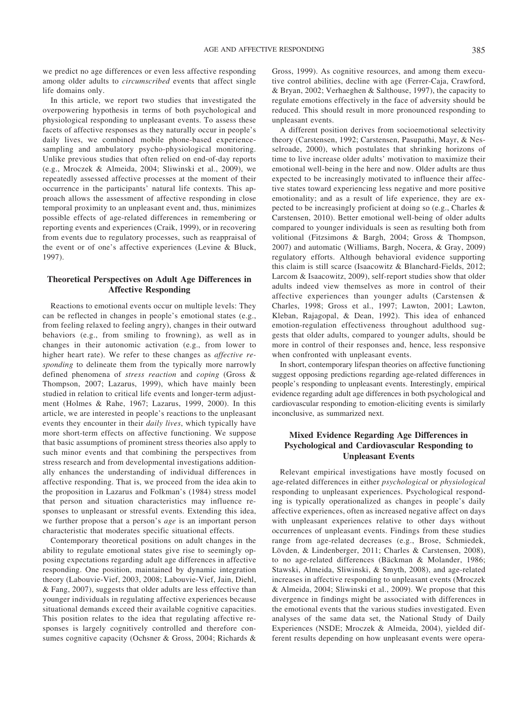we predict no age differences or even less affective responding among older adults to *circumscribed* events that affect single life domains only.

In this article, we report two studies that investigated the overpowering hypothesis in terms of both psychological and physiological responding to unpleasant events. To assess these facets of affective responses as they naturally occur in people's daily lives, we combined mobile phone-based experiencesampling and ambulatory psycho-physiological monitoring. Unlike previous studies that often relied on end-of-day reports (e.g., Mroczek & Almeida, 2004; Sliwinski et al., 2009), we repeatedly assessed affective processes at the moment of their occurrence in the participants' natural life contexts. This approach allows the assessment of affective responding in close temporal proximity to an unpleasant event and, thus, minimizes possible effects of age-related differences in remembering or reporting events and experiences (Craik, 1999), or in recovering from events due to regulatory processes, such as reappraisal of the event or of one's affective experiences (Levine & Bluck, 1997).

## **Theoretical Perspectives on Adult Age Differences in Affective Responding**

Reactions to emotional events occur on multiple levels: They can be reflected in changes in people's emotional states (e.g., from feeling relaxed to feeling angry), changes in their outward behaviors (e.g., from smiling to frowning), as well as in changes in their autonomic activation (e.g., from lower to higher heart rate). We refer to these changes as *affective responding* to delineate them from the typically more narrowly defined phenomena of *stress reaction* and *coping* (Gross & Thompson, 2007; Lazarus, 1999), which have mainly been studied in relation to critical life events and longer-term adjustment (Holmes & Rahe, 1967; Lazarus, 1999, 2000). In this article, we are interested in people's reactions to the unpleasant events they encounter in their *daily lives*, which typically have more short-term effects on affective functioning. We suppose that basic assumptions of prominent stress theories also apply to such minor events and that combining the perspectives from stress research and from developmental investigations additionally enhances the understanding of individual differences in affective responding. That is, we proceed from the idea akin to the proposition in Lazarus and Folkman's (1984) stress model that person and situation characteristics may influence responses to unpleasant or stressful events. Extending this idea, we further propose that a person's *age* is an important person characteristic that moderates specific situational effects.

Contemporary theoretical positions on adult changes in the ability to regulate emotional states give rise to seemingly opposing expectations regarding adult age differences in affective responding. One position, maintained by dynamic integration theory (Labouvie-Vief, 2003, 2008; Labouvie-Vief, Jain, Diehl, & Fang, 2007), suggests that older adults are less effective than younger individuals in regulating affective experiences because situational demands exceed their available cognitive capacities. This position relates to the idea that regulating affective responses is largely cognitively controlled and therefore consumes cognitive capacity (Ochsner & Gross, 2004; Richards & Gross, 1999). As cognitive resources, and among them executive control abilities, decline with age (Ferrer-Caja, Crawford, & Bryan, 2002; Verhaeghen & Salthouse, 1997), the capacity to regulate emotions effectively in the face of adversity should be reduced. This should result in more pronounced responding to unpleasant events.

A different position derives from socioemotional selectivity theory (Carstensen, 1992; Carstensen, Pasupathi, Mayr, & Nesselroade, 2000), which postulates that shrinking horizons of time to live increase older adults' motivation to maximize their emotional well-being in the here and now. Older adults are thus expected to be increasingly motivated to influence their affective states toward experiencing less negative and more positive emotionality; and as a result of life experience, they are expected to be increasingly proficient at doing so (e.g., Charles & Carstensen, 2010). Better emotional well-being of older adults compared to younger individuals is seen as resulting both from volitional (Fitzsimons & Bargh, 2004; Gross & Thompson, 2007) and automatic (Williams, Bargh, Nocera, & Gray, 2009) regulatory efforts. Although behavioral evidence supporting this claim is still scarce (Isaacowitz & Blanchard-Fields, 2012; Larcom & Isaacowitz, 2009), self-report studies show that older adults indeed view themselves as more in control of their affective experiences than younger adults (Carstensen & Charles, 1998; Gross et al., 1997; Lawton, 2001; Lawton, Kleban, Rajagopal, & Dean, 1992). This idea of enhanced emotion-regulation effectiveness throughout adulthood suggests that older adults, compared to younger adults, should be more in control of their responses and, hence, less responsive when confronted with unpleasant events.

In short, contemporary lifespan theories on affective functioning suggest opposing predictions regarding age-related differences in people's responding to unpleasant events. Interestingly, empirical evidence regarding adult age differences in both psychological and cardiovascular responding to emotion-eliciting events is similarly inconclusive, as summarized next.

# **Mixed Evidence Regarding Age Differences in Psychological and Cardiovascular Responding to Unpleasant Events**

Relevant empirical investigations have mostly focused on age-related differences in either *psychological* or *physiological* responding to unpleasant experiences. Psychological responding is typically operationalized as changes in people's daily affective experiences, often as increased negative affect on days with unpleasant experiences relative to other days without occurrences of unpleasant events. Findings from these studies range from age-related decreases (e.g., Brose, Schmiedek, Lövden, & Lindenberger, 2011; Charles & Carstensen, 2008), to no age-related differences (Bäckman & Molander, 1986; Stawski, Almeida, Sliwinski, & Smyth, 2008), and age-related increases in affective responding to unpleasant events (Mroczek & Almeida, 2004; Sliwinski et al., 2009). We propose that this divergence in findings might be associated with differences in the emotional events that the various studies investigated. Even analyses of the same data set, the National Study of Daily Experiences (NSDE; Mroczek & Almeida, 2004), yielded different results depending on how unpleasant events were opera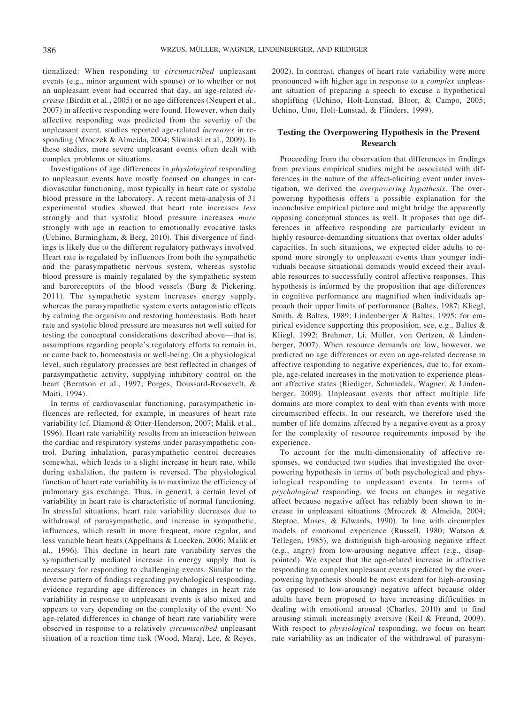tionalized: When responding to *circumscribed* unpleasant events (e.g., minor argument with spouse) or to whether or not an unpleasant event had occurred that day, an age-related *decrease* (Birditt et al., 2005) or no age differences (Neupert et al., 2007) in affective responding were found. However, when daily affective responding was predicted from the severity of the unpleasant event, studies reported age-related *increases* in responding (Mroczek & Almeida, 2004; Sliwinski et al., 2009). In these studies, more severe unpleasant events often dealt with complex problems or situations.

Investigations of age differences in *physiological* responding to unpleasant events have mostly focused on changes in cardiovascular functioning, most typically in heart rate or systolic blood pressure in the laboratory. A recent meta-analysis of 31 experimental studies showed that heart rate increases *less* strongly and that systolic blood pressure increases *more* strongly with age in reaction to emotionally evocative tasks (Uchino, Birmingham, & Berg, 2010). This divergence of findings is likely due to the different regulatory pathways involved. Heart rate is regulated by influences from both the sympathetic and the parasympathetic nervous system, whereas systolic blood pressure is mainly regulated by the sympathetic system and baroreceptors of the blood vessels (Burg & Pickering, 2011). The sympathetic system increases energy supply, whereas the parasympathetic system exerts antagonistic effects by calming the organism and restoring homeostasis. Both heart rate and systolic blood pressure are measures not well suited for testing the conceptual considerations described above—that is, assumptions regarding people's regulatory efforts to remain in, or come back to, homeostasis or well-being. On a physiological level, such regulatory processes are best reflected in changes of parasympathetic activity, supplying inhibitory control on the heart (Berntson et al., 1997; Porges, Doussard-Roosevelt, & Maiti, 1994).

In terms of cardiovascular functioning, parasympathetic influences are reflected, for example, in measures of heart rate variability (cf. Diamond & Otter-Henderson, 2007; Malik et al., 1996). Heart rate variability results from an interaction between the cardiac and respiratory systems under parasympathetic control. During inhalation, parasympathetic control decreases somewhat, which leads to a slight increase in heart rate, while during exhalation, the pattern is reversed. The physiological function of heart rate variability is to maximize the efficiency of pulmonary gas exchange. Thus, in general, a certain level of variability in heart rate is characteristic of normal functioning. In stressful situations, heart rate variability decreases due to withdrawal of parasympathetic, and increase in sympathetic, influences, which result in more frequent, more regular, and less variable heart beats (Appelhans & Luecken, 2006; Malik et al., 1996). This decline in heart rate variability serves the sympathetically mediated increase in energy supply that is necessary for responding to challenging events. Similar to the diverse pattern of findings regarding psychological responding, evidence regarding age differences in changes in heart rate variability in response to unpleasant events is also mixed and appears to vary depending on the complexity of the event: No age-related differences in change of heart rate variability were observed in response to a relatively *circumscribed* unpleasant situation of a reaction time task (Wood, Maraj, Lee, & Reyes, 2002). In contrast, changes of heart rate variability were more pronounced with higher age in response to a *complex* unpleasant situation of preparing a speech to excuse a hypothetical shoplifting (Uchino, Holt-Lunstad, Bloor, & Campo, 2005; Uchino, Uno, Holt-Lunstad, & Flinders, 1999).

### **Testing the Overpowering Hypothesis in the Present Research**

Proceeding from the observation that differences in findings from previous empirical studies might be associated with differences in the nature of the affect-eliciting event under investigation, we derived the *overpowering hypothesis*. The overpowering hypothesis offers a possible explanation for the inconclusive empirical picture and might bridge the apparently opposing conceptual stances as well. It proposes that age differences in affective responding are particularly evident in highly resource-demanding situations that overtax older adults' capacities. In such situations, we expected older adults to respond more strongly to unpleasant events than younger individuals because situational demands would exceed their available resources to successfully control affective responses. This hypothesis is informed by the proposition that age differences in cognitive performance are magnified when individuals approach their upper limits of performance (Baltes, 1987; Kliegl, Smith, & Baltes, 1989; Lindenberger & Baltes, 1995; for empirical evidence supporting this proposition, see, e.g., Baltes & Kliegl, 1992; Brehmer, Li, Müller, von Oertzen, & Lindenberger, 2007). When resource demands are low, however, we predicted no age differences or even an age-related decrease in affective responding to negative experiences, due to, for example, age-related increases in the motivation to experience pleasant affective states (Riediger, Schmiedek, Wagner, & Lindenberger, 2009). Unpleasant events that affect multiple life domains are more complex to deal with than events with more circumscribed effects. In our research, we therefore used the number of life domains affected by a negative event as a proxy for the complexity of resource requirements imposed by the experience.

To account for the multi-dimensionality of affective responses, we conducted two studies that investigated the overpowering hypothesis in terms of both psychological and physiological responding to unpleasant events. In terms of *psychological* responding, we focus on changes in negative affect because negative affect has reliably been shown to increase in unpleasant situations (Mroczek & Almeida, 2004; Steptoe, Moses, & Edwards, 1990). In line with circumplex models of emotional experience (Russell, 1980; Watson & Tellegen, 1985), we distinguish high-arousing negative affect (e.g., angry) from low-arousing negative affect (e.g., disappointed). We expect that the age-related increase in affective responding to complex unpleasant events predicted by the overpowering hypothesis should be most evident for high-arousing (as opposed to low-arousing) negative affect because older adults have been proposed to have increasing difficulties in dealing with emotional arousal (Charles, 2010) and to find arousing stimuli increasingly aversive (Keil & Freund, 2009). With respect to *physiological* responding, we focus on heart rate variability as an indicator of the withdrawal of parasym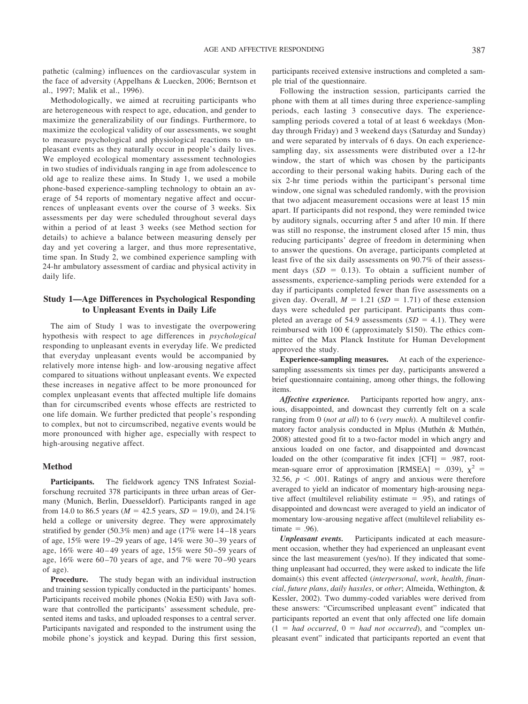pathetic (calming) influences on the cardiovascular system in the face of adversity (Appelhans & Luecken, 2006; Berntson et al., 1997; Malik et al., 1996).

Methodologically, we aimed at recruiting participants who are heterogeneous with respect to age, education, and gender to maximize the generalizability of our findings. Furthermore, to maximize the ecological validity of our assessments, we sought to measure psychological and physiological reactions to unpleasant events as they naturally occur in people's daily lives. We employed ecological momentary assessment technologies in two studies of individuals ranging in age from adolescence to old age to realize these aims. In Study 1, we used a mobile phone-based experience-sampling technology to obtain an average of 54 reports of momentary negative affect and occurrences of unpleasant events over the course of 3 weeks. Six assessments per day were scheduled throughout several days within a period of at least 3 weeks (see Method section for details) to achieve a balance between measuring densely per day and yet covering a larger, and thus more representative, time span. In Study 2, we combined experience sampling with 24-hr ambulatory assessment of cardiac and physical activity in daily life.

### **Study 1—Age Differences in Psychological Responding to Unpleasant Events in Daily Life**

The aim of Study 1 was to investigate the overpowering hypothesis with respect to age differences in *psychological* responding to unpleasant events in everyday life. We predicted that everyday unpleasant events would be accompanied by relatively more intense high- and low-arousing negative affect compared to situations without unpleasant events. We expected these increases in negative affect to be more pronounced for complex unpleasant events that affected multiple life domains than for circumscribed events whose effects are restricted to one life domain. We further predicted that people's responding to complex, but not to circumscribed, negative events would be more pronounced with higher age, especially with respect to high-arousing negative affect.

### **Method**

**Participants.** The fieldwork agency TNS Infratest Sozialforschung recruited 378 participants in three urban areas of Germany (Munich, Berlin, Duesseldorf). Participants ranged in age from 14.0 to 86.5 years ( $M = 42.5$  years,  $SD = 19.0$ ), and 24.1% held a college or university degree. They were approximately stratified by gender (50.3% men) and age (17% were 14 –18 years of age, 15% were 19 –29 years of age, 14% were 30 –39 years of age,  $16\%$  were  $40-49$  years of age,  $15\%$  were  $50-59$  years of age,  $16\%$  were  $60-70$  years of age, and  $7\%$  were  $70-90$  years of age).

**Procedure.** The study began with an individual instruction and training session typically conducted in the participants' homes. Participants received mobile phones (Nokia E50) with Java software that controlled the participants' assessment schedule, presented items and tasks, and uploaded responses to a central server. Participants navigated and responded to the instrument using the mobile phone's joystick and keypad. During this first session,

participants received extensive instructions and completed a sample trial of the questionnaire.

Following the instruction session, participants carried the phone with them at all times during three experience-sampling periods, each lasting 3 consecutive days. The experiencesampling periods covered a total of at least 6 weekdays (Monday through Friday) and 3 weekend days (Saturday and Sunday) and were separated by intervals of 6 days. On each experiencesampling day, six assessments were distributed over a 12-hr window, the start of which was chosen by the participants according to their personal waking habits. During each of the six 2-hr time periods within the participant's personal time window, one signal was scheduled randomly, with the provision that two adjacent measurement occasions were at least 15 min apart. If participants did not respond, they were reminded twice by auditory signals, occurring after 5 and after 10 min. If there was still no response, the instrument closed after 15 min, thus reducing participants' degree of freedom in determining when to answer the questions. On average, participants completed at least five of the six daily assessments on 90.7% of their assessment days  $(SD = 0.13)$ . To obtain a sufficient number of assessments, experience-sampling periods were extended for a day if participants completed fewer than five assessments on a given day. Overall,  $M = 1.21$  (*SD* = 1.71) of these extension days were scheduled per participant. Participants thus completed an average of 54.9 assessments  $(SD = 4.1)$ . They were reimbursed with 100  $\epsilon$  (approximately \$150). The ethics committee of the Max Planck Institute for Human Development approved the study.

**Experience-sampling measures.** At each of the experiencesampling assessments six times per day, participants answered a brief questionnaire containing, among other things, the following items.

*Affective experience.* Participants reported how angry, anxious, disappointed, and downcast they currently felt on a scale ranging from 0 (*not at all*) to 6 (*very much*). A multilevel confirmatory factor analysis conducted in Mplus (Muthén & Muthén, 2008) attested good fit to a two-factor model in which angry and anxious loaded on one factor, and disappointed and downcast loaded on the other (comparative fit index  $[CFI] = .987$ , rootmean-square error of approximation [RMSEA] = .039),  $\chi^2$  = 32.56,  $p < .001$ . Ratings of angry and anxious were therefore averaged to yield an indicator of momentary high-arousing negative affect (multilevel reliability estimate  $= .95$ ), and ratings of disappointed and downcast were averaged to yield an indicator of momentary low-arousing negative affect (multilevel reliability es $timate = .96$ .

*Unpleasant events.* Participants indicated at each measurement occasion, whether they had experienced an unpleasant event since the last measurement (yes/no). If they indicated that something unpleasant had occurred, they were asked to indicate the life domain(s) this event affected (*interpersonal*, *work*, *health*, *financial*, *future plans*, *daily hassles*, or *other*; Almeida, Wethington, & Kessler, 2002). Two dummy-coded variables were derived from these answers: "Circumscribed unpleasant event" indicated that participants reported an event that only affected one life domain  $(1 = had occurred, 0 = had not occurred)$ , and "complex unpleasant event" indicated that participants reported an event that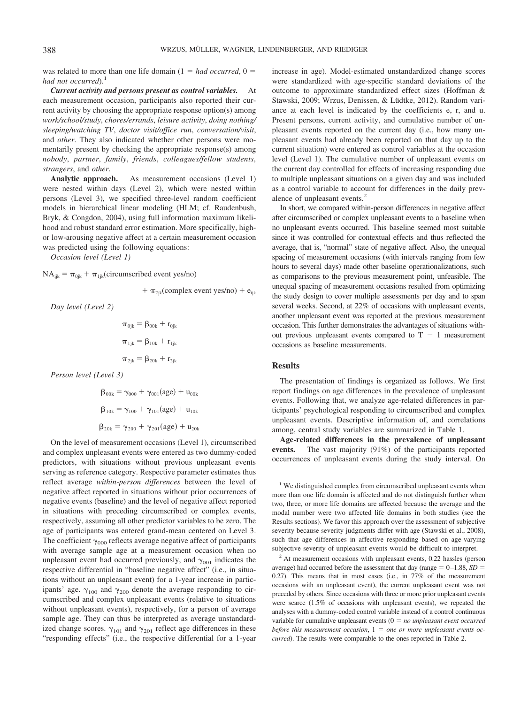was related to more than one life domain  $(1 = had occurred, 0 = 0)$ *had not occurred*).<sup>1</sup>

*Current activity and persons present as control variables.* At each measurement occasion, participants also reported their current activity by choosing the appropriate response option(s) among *work/school/study*, *chores/errands*, *leisure activity*, *doing nothing/ sleeping/watching TV*, *doctor visit/office run*, *conversation/visit*, and *other*. They also indicated whether other persons were momentarily present by checking the appropriate response(s) among *nobody*, *partner*, *family*, *friends*, *colleagues/fellow students*, *strangers*, and *other*.

**Analytic approach.** As measurement occasions (Level 1) were nested within days (Level 2), which were nested within persons (Level 3), we specified three-level random coefficient models in hierarchical linear modeling (HLM; cf. Raudenbush, Bryk, & Congdon, 2004), using full information maximum likelihood and robust standard error estimation. More specifically, highor low-arousing negative affect at a certain measurement occasion was predicted using the following equations:

*Occasion level (Level 1)*

 $NA_{ijk} = \pi_{0jk} + \pi_{1jk}$ (circumscribed event yes/no)

+  $\pi_{2jk}$ (complex event yes/no) +  $e_{ijk}$ 

*Day level (Level 2)*

$$
\pi_{0jk} = \beta_{00k} + r_{0jk}
$$

$$
\pi_{1jk} = \beta_{10k} + r_{1jk}
$$

$$
\pi_{2jk} = \beta_{20k} + r_{2jk}
$$

*Person level (Level 3)*

$$
\beta_{00k} = \gamma_{000} + \gamma_{001}(age) + u_{00k}
$$
  

$$
\beta_{10k} = \gamma_{100} + \gamma_{101}(age) + u_{10k}
$$
  

$$
\beta_{20k} = \gamma_{200} + \gamma_{201}(age) + u_{20k}
$$

On the level of measurement occasions (Level 1), circumscribed and complex unpleasant events were entered as two dummy-coded predictors, with situations without previous unpleasant events serving as reference category. Respective parameter estimates thus reflect average *within-person differences* between the level of negative affect reported in situations without prior occurrences of negative events (baseline) and the level of negative affect reported in situations with preceding circumscribed or complex events, respectively, assuming all other predictor variables to be zero. The age of participants was entered grand-mean centered on Level 3. The coefficient  $\gamma_{000}$  reflects average negative affect of participants with average sample age at a measurement occasion when no unpleasant event had occurred previously, and  $\gamma_{001}$  indicates the respective differential in "baseline negative affect" (i.e., in situations without an unpleasant event) for a 1-year increase in participants' age.  $\gamma_{100}$  and  $\gamma_{200}$  denote the average responding to circumscribed and complex unpleasant events (relative to situations without unpleasant events), respectively, for a person of average sample age. They can thus be interpreted as average unstandardized change scores.  $\gamma_{101}$  and  $\gamma_{201}$  reflect age differences in these "responding effects" (i.e., the respective differential for a 1-year increase in age). Model-estimated unstandardized change scores were standardized with age-specific standard deviations of the outcome to approximate standardized effect sizes (Hoffman & Stawski, 2009; Wrzus, Denissen, & Lüdtke, 2012). Random variance at each level is indicated by the coefficients e, r, and u. Present persons, current activity, and cumulative number of unpleasant events reported on the current day (i.e., how many unpleasant events had already been reported on that day up to the current situation) were entered as control variables at the occasion level (Level 1). The cumulative number of unpleasant events on the current day controlled for effects of increasing responding due to multiple unpleasant situations on a given day and was included as a control variable to account for differences in the daily prevalence of unpleasant events.<sup>2</sup>

In short, we compared within-person differences in negative affect after circumscribed or complex unpleasant events to a baseline when no unpleasant events occurred. This baseline seemed most suitable since it was controlled for contextual effects and thus reflected the average, that is, "normal" state of negative affect. Also, the unequal spacing of measurement occasions (with intervals ranging from few hours to several days) made other baseline operationalizations, such as comparisons to the previous measurement point, unfeasible. The unequal spacing of measurement occasions resulted from optimizing the study design to cover multiple assessments per day and to span several weeks. Second, at 22% of occasions with unpleasant events, another unpleasant event was reported at the previous measurement occasion. This further demonstrates the advantages of situations without previous unpleasant events compared to  $T - 1$  measurement occasions as baseline measurements.

### **Results**

The presentation of findings is organized as follows. We first report findings on age differences in the prevalence of unpleasant events. Following that, we analyze age-related differences in participants' psychological responding to circumscribed and complex unpleasant events. Descriptive information of, and correlations among, central study variables are summarized in Table 1.

**Age-related differences in the prevalence of unpleasant events.** The vast majority (91%) of the participants reported occurrences of unpleasant events during the study interval. On

<sup>&</sup>lt;sup>1</sup> We distinguished complex from circumscribed unpleasant events when more than one life domain is affected and do not distinguish further when two, three, or more life domains are affected because the average and the modal number were two affected life domains in both studies (see the Results sections). We favor this approach over the assessment of subjective severity because severity judgments differ with age (Stawski et al., 2008), such that age differences in affective responding based on age-varying subjective severity of unpleasant events would be difficult to interpret.

<sup>2</sup> At measurement occasions with unpleasant events, 0.22 hassles (person average) had occurred before the assessment that day (range  $= 0-1.88$ ,  $SD =$ 0.27). This means that in most cases (i.e., in 77% of the measurement occasions with an unpleasant event), the current unpleasant event was not preceded by others. Since occasions with three or more prior unpleasant events were scarce (1.5% of occasions with unpleasant events), we repeated the analyses with a dummy-coded control variable instead of a control continuous variable for cumulative unpleasant events  $(0 = no$  *unpleasant event occurred before this measurement occasion*,  $1 =$  *one or more unpleasant events occurred*). The results were comparable to the ones reported in Table 2.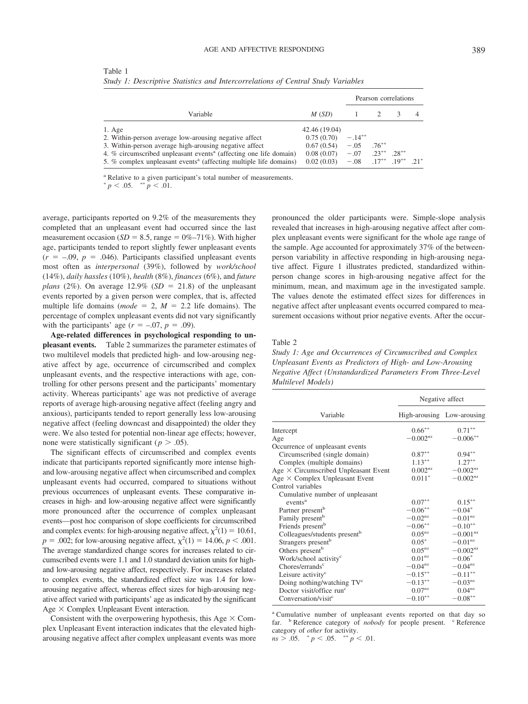Table 1 *Study 1: Descriptive Statistics and Intercorrelations of Central Study Variables*

|                                                                                                                                                                                                                                                                                                      |                                                                       | Pearson correlations                                            |          |           |  |
|------------------------------------------------------------------------------------------------------------------------------------------------------------------------------------------------------------------------------------------------------------------------------------------------------|-----------------------------------------------------------------------|-----------------------------------------------------------------|----------|-----------|--|
| Variable                                                                                                                                                                                                                                                                                             | M(SD)                                                                 |                                                                 |          |           |  |
| $1. \text{Age}$<br>2. Within-person average low-arousing negative affect<br>3. Within-person average high-arousing negative affect<br>4. % circumscribed unpleasant events <sup>a</sup> (affecting one life domain)<br>5. % complex unpleasant events <sup>a</sup> (affecting multiple life domains) | 42.46 (19.04)<br>0.75(0.70)<br>0.67(0.54)<br>0.08(0.07)<br>0.02(0.03) | $-.14***$<br>$-.05$<br>$-.07$ .23**<br>$-.08$ $.17***$ $.19***$ | $.76***$ | $28^{**}$ |  |

<sup>a</sup> Relative to a given participant's total number of measurements.  $p^* p < .05.$  \*\*  $p < .01.$ 

average, participants reported on 9.2% of the measurements they completed that an unpleasant event had occurred since the last measurement occasion ( $SD = 8.5$ , range =  $0\%$ –71%). With higher age, participants tended to report slightly fewer unpleasant events  $(r = -.09, p = .046)$ . Participants classified unpleasant events most often as *interpersonal* (39%), followed by *work/school* (14%), *daily hassles* (10%), *health* (8%), *finances* (6%), and *future plans* (2%). On average 12.9% ( $SD = 21.8$ ) of the unpleasant events reported by a given person were complex, that is, affected multiple life domains ( $mode = 2$ ,  $M = 2.2$  life domains). The percentage of complex unpleasant events did not vary significantly with the participants' age  $(r = -.07, p = .09)$ .

**Age-related differences in psychological responding to unpleasant events.** Table 2 summarizes the parameter estimates of two multilevel models that predicted high- and low-arousing negative affect by age, occurrence of circumscribed and complex unpleasant events, and the respective interactions with age, controlling for other persons present and the participants' momentary activity. Whereas participants' age was not predictive of average reports of average high-arousing negative affect (feeling angry and anxious), participants tended to report generally less low-arousing negative affect (feeling downcast and disappointed) the older they were. We also tested for potential non-linear age effects; however, none were statistically significant ( $p > .05$ ).

The significant effects of circumscribed and complex events indicate that participants reported significantly more intense highand low-arousing negative affect when circumscribed and complex unpleasant events had occurred, compared to situations without previous occurrences of unpleasant events. These comparative increases in high- and low-arousing negative affect were significantly more pronounced after the occurrence of complex unpleasant events—post hoc comparison of slope coefficients for circumscribed and complex events: for high-arousing negative affect,  $\chi^2(1) = 10.61$ ,  $p = .002$ ; for low-arousing negative affect,  $\chi^2(1) = 14.06$ ,  $p < .001$ . The average standardized change scores for increases related to circumscribed events were 1.1 and 1.0 standard deviation units for highand low-arousing negative affect, respectively. For increases related to complex events, the standardized effect size was 1.4 for lowarousing negative affect, whereas effect sizes for high-arousing negative affect varied with participants' age as indicated by the significant Age  $\times$  Complex Unpleasant Event interaction.

Consistent with the overpowering hypothesis, this Age  $\times$  Complex Unpleasant Event interaction indicates that the elevated higharousing negative affect after complex unpleasant events was more

pronounced the older participants were. Simple-slope analysis revealed that increases in high-arousing negative affect after complex unpleasant events were significant for the whole age range of the sample. Age accounted for approximately 37% of the betweenperson variability in affective responding in high-arousing negative affect. Figure 1 illustrates predicted, standardized withinperson change scores in high-arousing negative affect for the minimum, mean, and maximum age in the investigated sample. The values denote the estimated effect sizes for differences in negative affect after unpleasant events occurred compared to measurement occasions without prior negative events. After the occur-

#### Table 2

*Study 1: Age and Occurrences of Circumscribed and Complex Unpleasant Events as Predictors of High- and Low-Arousing Negative Affect (Unstandardized Parameters From Three-Level Multilevel Models)*

|                                             | Negative affect            |               |  |  |
|---------------------------------------------|----------------------------|---------------|--|--|
| Variable                                    | High-arousing Low-arousing |               |  |  |
| Intercept                                   | $0.66***$                  | $0.71***$     |  |  |
| Age                                         | $-0.002^{ns}$              | $-0.006***$   |  |  |
| Occurrence of unpleasant events             |                            |               |  |  |
| Circumscribed (single domain)               | $0.87^{\ast\ast}$          | $0.94***$     |  |  |
| Complex (multiple domains)                  | $1.13***$                  | $1.27***$     |  |  |
| Age $\times$ Circumscribed Unpleasant Event | $0.002^{ns}$               | $-0.002^{ns}$ |  |  |
| Age $\times$ Complex Unpleasant Event       | $0.011*$                   | $-0.002^{ns}$ |  |  |
| Control variables                           |                            |               |  |  |
| Cumulative number of unpleasant             |                            |               |  |  |
| events <sup>a</sup>                         | $0.07**$                   | $0.15***$     |  |  |
| Partner present <sup>b</sup>                | $-0.06**$                  | $-0.04*$      |  |  |
| Family present <sup>b</sup>                 | $-0.02^{ns}$               | $-0.01^{ns}$  |  |  |
| Friends present <sup>b</sup>                | $-0.06**$                  | $-0.10**$     |  |  |
| Colleagues/students present <sup>b</sup>    | $0.05^{ns}$                | $-0.001^{ns}$ |  |  |
| Strangers present <sup>b</sup>              | $0.05*$                    | $-0.01^{ns}$  |  |  |
| Others present <sup>b</sup>                 | $0.05^{ns}$                | $-0.002^{ns}$ |  |  |
| Work/school activity <sup>c</sup>           | $0.01^{ns}$                | $-0.06*$      |  |  |
| Chores/errands <sup>c</sup>                 | $-0.04^{ns}$               | $-0.04^{ns}$  |  |  |
| Leisure activity <sup>c</sup>               | $-0.15***$                 | $-0.11***$    |  |  |
| Doing nothing/watching TV <sup>c</sup>      | $-0.13***$                 | $-0.03^{ns}$  |  |  |
| Doctor visit/office run <sup>c</sup>        | $0.07^{ns}$                | $0.04^{ns}$   |  |  |
| Conversation/visit <sup>c</sup>             | $-0.10**$                  | $-0.08***$    |  |  |
|                                             |                            |               |  |  |

<sup>a</sup> Cumulative number of unpleasant events reported on that day so far. <sup>b</sup> Reference category of *nobody* for people present. <sup>c</sup> Reference category of *other* for activity.

 $n s > .05.$  *\* p* < .05. \* *p* < .01.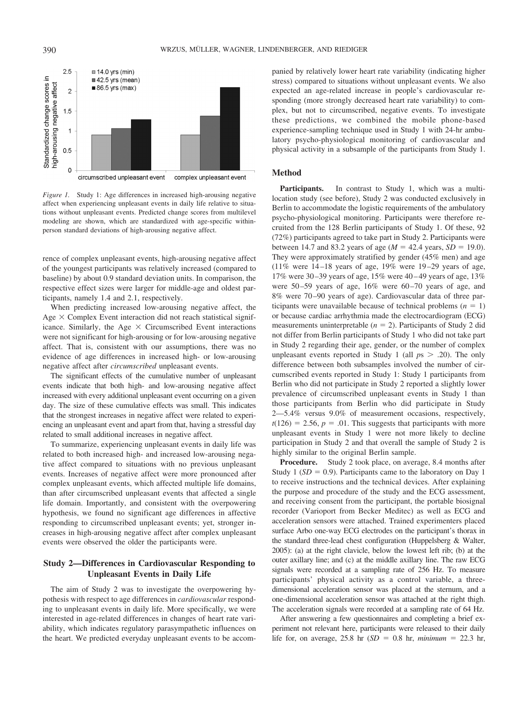

*Figure 1.* Study 1: Age differences in increased high-arousing negative affect when experiencing unpleasant events in daily life relative to situations without unpleasant events. Predicted change scores from multilevel modeling are shown, which are standardized with age-specific withinperson standard deviations of high-arousing negative affect.

rence of complex unpleasant events, high-arousing negative affect of the youngest participants was relatively increased (compared to baseline) by about 0.9 standard deviation units. In comparison, the respective effect sizes were larger for middle-age and oldest participants, namely 1.4 and 2.1, respectively.

When predicting increased low-arousing negative affect, the Age  $\times$  Complex Event interaction did not reach statistical significance. Similarly, the Age  $\times$  Circumscribed Event interactions were not significant for high-arousing or for low-arousing negative affect. That is, consistent with our assumptions, there was no evidence of age differences in increased high- or low-arousing negative affect after *circumscribed* unpleasant events.

The significant effects of the cumulative number of unpleasant events indicate that both high- and low-arousing negative affect increased with every additional unpleasant event occurring on a given day. The size of these cumulative effects was small. This indicates that the strongest increases in negative affect were related to experiencing an unpleasant event and apart from that, having a stressful day related to small additional increases in negative affect.

To summarize, experiencing unpleasant events in daily life was related to both increased high- and increased low-arousing negative affect compared to situations with no previous unpleasant events. Increases of negative affect were more pronounced after complex unpleasant events, which affected multiple life domains, than after circumscribed unpleasant events that affected a single life domain. Importantly, and consistent with the overpowering hypothesis, we found no significant age differences in affective responding to circumscribed unpleasant events; yet, stronger increases in high-arousing negative affect after complex unpleasant events were observed the older the participants were.

# **Study 2—Differences in Cardiovascular Responding to Unpleasant Events in Daily Life**

The aim of Study 2 was to investigate the overpowering hypothesis with respect to age differences in *cardiovascular* responding to unpleasant events in daily life. More specifically, we were interested in age-related differences in changes of heart rate variability, which indicates regulatory parasympathetic influences on the heart. We predicted everyday unpleasant events to be accom-

panied by relatively lower heart rate variability (indicating higher stress) compared to situations without unpleasant events. We also expected an age-related increase in people's cardiovascular responding (more strongly decreased heart rate variability) to complex, but not to circumscribed, negative events. To investigate these predictions, we combined the mobile phone-based experience-sampling technique used in Study 1 with 24-hr ambulatory psycho-physiological monitoring of cardiovascular and physical activity in a subsample of the participants from Study 1.

### **Method**

Participants. In contrast to Study 1, which was a multilocation study (see before), Study 2 was conducted exclusively in Berlin to accommodate the logistic requirements of the ambulatory psycho-physiological monitoring. Participants were therefore recruited from the 128 Berlin participants of Study 1. Of these, 92 (72%) participants agreed to take part in Study 2. Participants were between 14.7 and 83.2 years of age ( $M = 42.4$  years,  $SD = 19.0$ ). They were approximately stratified by gender (45% men) and age  $(11\% \text{ were } 14-18 \text{ years of age}, 19\% \text{ were } 19-29 \text{ years of age},$ 17% were 30 –39 years of age, 15% were 40 – 49 years of age, 13% were 50–59 years of age, 16% were 60–70 years of age, and 8% were 70 –90 years of age). Cardiovascular data of three participants were unavailable because of technical problems  $(n = 1)$ or because cardiac arrhythmia made the electrocardiogram (ECG) measurements uninterpretable  $(n = 2)$ . Participants of Study 2 did not differ from Berlin participants of Study 1 who did not take part in Study 2 regarding their age, gender, or the number of complex unpleasant events reported in Study 1 (all *p*s .20). The only difference between both subsamples involved the number of circumscribed events reported in Study 1: Study 1 participants from Berlin who did not participate in Study 2 reported a slightly lower prevalence of circumscribed unpleasant events in Study 1 than those participants from Berlin who did participate in Study 2—5.4% versus 9.0% of measurement occasions, respectively,  $t(126) = 2.56$ ,  $p = .01$ . This suggests that participants with more unpleasant events in Study 1 were not more likely to decline participation in Study 2 and that overall the sample of Study 2 is highly similar to the original Berlin sample.

**Procedure.** Study 2 took place, on average, 8.4 months after Study 1 ( $SD = 0.9$ ). Participants came to the laboratory on Day 1 to receive instructions and the technical devices. After explaining the purpose and procedure of the study and the ECG assessment, and receiving consent from the participant, the portable biosignal recorder (Varioport from Becker Meditec) as well as ECG and acceleration sensors were attached. Trained experimenters placed surface Arbo one-way ECG electrodes on the participant's thorax in the standard three-lead chest configuration (Huppelsberg & Walter, 2005): (a) at the right clavicle, below the lowest left rib; (b) at the outer axillary line; and (c) at the middle axillary line. The raw ECG signals were recorded at a sampling rate of 256 Hz. To measure participants' physical activity as a control variable, a threedimensional acceleration sensor was placed at the sternum, and a one-dimensional acceleration sensor was attached at the right thigh. The acceleration signals were recorded at a sampling rate of 64 Hz.

After answering a few questionnaires and completing a brief experiment not relevant here, participants were released to their daily life for, on average,  $25.8$  hr  $(SD = 0.8$  hr, *minimum* = 22.3 hr,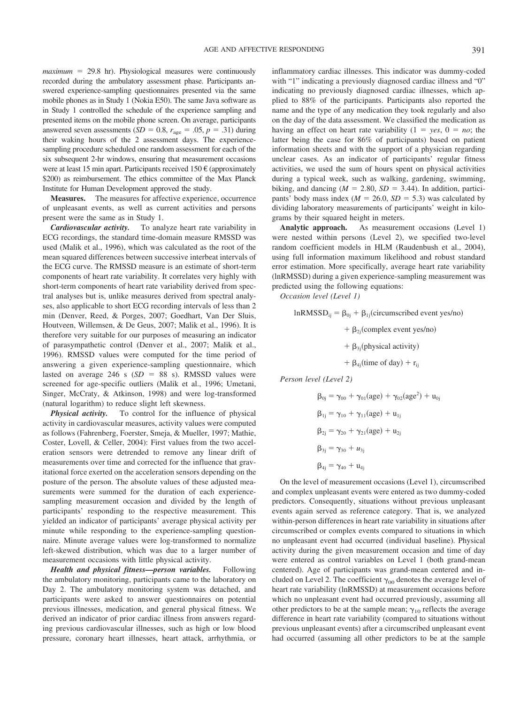$maximum = 29.8$  hr). Physiological measures were continuously recorded during the ambulatory assessment phase. Participants answered experience-sampling questionnaires presented via the same mobile phones as in Study 1 (Nokia E50). The same Java software as in Study 1 controlled the schedule of the experience sampling and presented items on the mobile phone screen. On average, participants answered seven assessments ( $SD = 0.8$ ,  $r_{\text{age}} = .05$ ,  $p = .31$ ) during their waking hours of the 2 assessment days. The experiencesampling procedure scheduled one random assessment for each of the six subsequent 2-hr windows, ensuring that measurement occasions were at least 15 min apart. Participants received 150  $\epsilon$  (approximately \$200) as reimbursement. The ethics committee of the Max Planck Institute for Human Development approved the study.

**Measures.** The measures for affective experience, occurrence of unpleasant events, as well as current activities and persons present were the same as in Study 1.

*Cardiovascular activity.* To analyze heart rate variability in ECG recordings, the standard time-domain measure RMSSD was used (Malik et al., 1996), which was calculated as the root of the mean squared differences between successive interbeat intervals of the ECG curve. The RMSSD measure is an estimate of short-term components of heart rate variability. It correlates very highly with short-term components of heart rate variability derived from spectral analyses but is, unlike measures derived from spectral analyses, also applicable to short ECG recording intervals of less than 2 min (Denver, Reed, & Porges, 2007; Goedhart, Van Der Sluis, Houtveen, Willemsen, & De Geus, 2007; Malik et al., 1996). It is therefore very suitable for our purposes of measuring an indicator of parasympathetic control (Denver et al., 2007; Malik et al., 1996). RMSSD values were computed for the time period of answering a given experience-sampling questionnaire, which lasted on average 246 s  $(SD = 88 \text{ s})$ . RMSSD values were screened for age-specific outliers (Malik et al., 1996; Umetani, Singer, McCraty, & Atkinson, 1998) and were log-transformed (natural logarithm) to reduce slight left skewness.

*Physical activity.* To control for the influence of physical activity in cardiovascular measures, activity values were computed as follows (Fahrenberg, Foerster, Smeja, & Mueller, 1997; Mathie, Coster, Lovell, & Celler, 2004): First values from the two acceleration sensors were detrended to remove any linear drift of measurements over time and corrected for the influence that gravitational force exerted on the acceleration sensors depending on the posture of the person. The absolute values of these adjusted measurements were summed for the duration of each experiencesampling measurement occasion and divided by the length of participants' responding to the respective measurement. This yielded an indicator of participants' average physical activity per minute while responding to the experience-sampling questionnaire. Minute average values were log-transformed to normalize left-skewed distribution, which was due to a larger number of measurement occasions with little physical activity.

*Health and physical fitness—person variables.* Following the ambulatory monitoring, participants came to the laboratory on Day 2. The ambulatory monitoring system was detached, and participants were asked to answer questionnaires on potential previous illnesses, medication, and general physical fitness. We derived an indicator of prior cardiac illness from answers regarding previous cardiovascular illnesses, such as high or low blood pressure, coronary heart illnesses, heart attack, arrhythmia, or inflammatory cardiac illnesses. This indicator was dummy-coded with "1" indicating a previously diagnosed cardiac illness and "0" indicating no previously diagnosed cardiac illnesses, which applied to 88% of the participants. Participants also reported the name and the type of any medication they took regularly and also on the day of the data assessment. We classified the medication as having an effect on heart rate variability  $(1 = yes, 0 = no;$  the latter being the case for 86% of participants) based on patient information sheets and with the support of a physician regarding unclear cases. As an indicator of participants' regular fitness activities, we used the sum of hours spent on physical activities during a typical week, such as walking, gardening, swimming, biking, and dancing ( $M = 2.80$ ,  $SD = 3.44$ ). In addition, participants' body mass index ( $M = 26.0$ ,  $SD = 5.3$ ) was calculated by dividing laboratory measurements of participants' weight in kilograms by their squared height in meters.

**Analytic approach.** As measurement occasions (Level 1) were nested within persons (Level 2), we specified two-level random coefficient models in HLM (Raudenbush et al., 2004), using full information maximum likelihood and robust standard error estimation. More specifically, average heart rate variability (lnRMSSD) during a given experience-sampling measurement was predicted using the following equations:

*Occasion level (Level 1)*

 $lnRMSSD_{ij} = \beta_{0j} + \beta_{1j}$ (circumscribed event yes/no)

 $+ \beta_{2j}$ (complex event yes/no) +  $\beta_{3j}$ (physical activity) +  $\beta_{4j}$ (time of day) + r<sub>ij</sub>

*Person level (Level 2)*

$$
\beta_{0j} = \gamma_{00} + \gamma_{01}(age) + \gamma_{02}(age^2) + u_{0j}
$$
  
\n
$$
\beta_{1j} = \gamma_{10} + \gamma_{11}(age) + u_{1j}
$$
  
\n
$$
\beta_{2j} = \gamma_{20} + \gamma_{21}(age) + u_{2j}
$$
  
\n
$$
\beta_{3j} = \gamma_{30} + u_{3j}
$$
  
\n
$$
\beta_{4j} = \gamma_{40} + u_{4j}
$$

On the level of measurement occasions (Level 1), circumscribed and complex unpleasant events were entered as two dummy-coded predictors. Consequently, situations without previous unpleasant events again served as reference category. That is, we analyzed within-person differences in heart rate variability in situations after circumscribed or complex events compared to situations in which no unpleasant event had occurred (individual baseline). Physical activity during the given measurement occasion and time of day were entered as control variables on Level 1 (both grand-mean centered). Age of participants was grand-mean centered and included on Level 2. The coefficient  $\gamma_{00}$  denotes the average level of heart rate variability (lnRMSSD) at measurement occasions before which no unpleasant event had occurred previously, assuming all other predictors to be at the sample mean;  $\gamma_{10}$  reflects the average difference in heart rate variability (compared to situations without previous unpleasant events) after a circumscribed unpleasant event had occurred (assuming all other predictors to be at the sample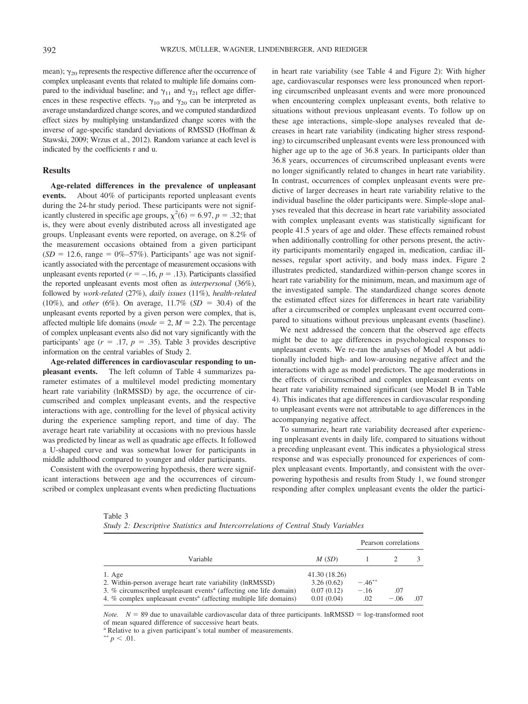mean);  $\gamma_{20}$  represents the respective difference after the occurrence of complex unpleasant events that related to multiple life domains compared to the individual baseline; and  $\gamma_{11}$  and  $\gamma_{21}$  reflect age differences in these respective effects.  $\gamma_{10}$  and  $\gamma_{20}$  can be interpreted as average unstandardized change scores, and we computed standardized effect sizes by multiplying unstandardized change scores with the inverse of age-specific standard deviations of RMSSD (Hoffman & Stawski, 2009; Wrzus et al., 2012). Random variance at each level is indicated by the coefficients r and u.

#### **Results**

**Age-related differences in the prevalence of unpleasant events.** About 40% of participants reported unpleasant events during the 24-hr study period. These participants were not significantly clustered in specific age groups,  $\chi^2(6) = 6.97$ ,  $p = .32$ ; that is, they were about evenly distributed across all investigated age groups. Unpleasant events were reported, on average, on 8.2% of the measurement occasions obtained from a given participant  $(SD = 12.6$ , range =  $0\% - 57\%$ ). Participants' age was not significantly associated with the percentage of measurement occasions with unpleasant events reported ( $r = -16$ ,  $p = .13$ ). Participants classified the reported unpleasant events most often as *interpersonal* (36%), followed by *work-related* (27%), *daily issues* (11%), *health-related* (10%), and *other* (6%). On average,  $11.7\%$  (*SD* = 30.4) of the unpleasant events reported by a given person were complex, that is, affected multiple life domains ( $mode = 2$ ,  $M = 2.2$ ). The percentage of complex unpleasant events also did not vary significantly with the participants' age  $(r = .17, p = .35)$ . Table 3 provides descriptive information on the central variables of Study 2.

**Age-related differences in cardiovascular responding to unpleasant events.** The left column of Table 4 summarizes parameter estimates of a multilevel model predicting momentary heart rate variability (lnRMSSD) by age, the occurrence of circumscribed and complex unpleasant events, and the respective interactions with age, controlling for the level of physical activity during the experience sampling report, and time of day. The average heart rate variability at occasions with no previous hassle was predicted by linear as well as quadratic age effects. It followed a U-shaped curve and was somewhat lower for participants in middle adulthood compared to younger and older participants.

Consistent with the overpowering hypothesis, there were significant interactions between age and the occurrences of circumscribed or complex unpleasant events when predicting fluctuations in heart rate variability (see Table 4 and Figure 2): With higher age, cardiovascular responses were less pronounced when reporting circumscribed unpleasant events and were more pronounced when encountering complex unpleasant events, both relative to situations without previous unpleasant events. To follow up on these age interactions, simple-slope analyses revealed that decreases in heart rate variability (indicating higher stress responding) to circumscribed unpleasant events were less pronounced with higher age up to the age of 36.8 years. In participants older than 36.8 years, occurrences of circumscribed unpleasant events were no longer significantly related to changes in heart rate variability. In contrast, occurrences of complex unpleasant events were predictive of larger decreases in heart rate variability relative to the individual baseline the older participants were. Simple-slope analyses revealed that this decrease in heart rate variability associated with complex unpleasant events was statistically significant for people 41.5 years of age and older. These effects remained robust when additionally controlling for other persons present, the activity participants momentarily engaged in, medication, cardiac illnesses, regular sport activity, and body mass index. Figure 2 illustrates predicted, standardized within-person change scores in heart rate variability for the minimum, mean, and maximum age of the investigated sample. The standardized change scores denote the estimated effect sizes for differences in heart rate variability after a circumscribed or complex unpleasant event occurred compared to situations without previous unpleasant events (baseline).

We next addressed the concern that the observed age effects might be due to age differences in psychological responses to unpleasant events. We re-ran the analyses of Model A but additionally included high- and low-arousing negative affect and the interactions with age as model predictors. The age moderations in the effects of circumscribed and complex unpleasant events on heart rate variability remained significant (see Model B in Table 4). This indicates that age differences in cardiovascular responding to unpleasant events were not attributable to age differences in the accompanying negative affect.

To summarize, heart rate variability decreased after experiencing unpleasant events in daily life, compared to situations without a preceding unpleasant event. This indicates a physiological stress response and was especially pronounced for experiences of complex unpleasant events. Importantly, and consistent with the overpowering hypothesis and results from Study 1, we found stronger responding after complex unpleasant events the older the partici-

Table 3

|  |  |  |  | Study 2: Descriptive Statistics and Intercorrelations of Central Study Variables |  |  |  |  |
|--|--|--|--|----------------------------------------------------------------------------------|--|--|--|--|
|--|--|--|--|----------------------------------------------------------------------------------|--|--|--|--|

|                                                                                                                                                                                                                                                |                                                         |                            | Pearson correlations |    |
|------------------------------------------------------------------------------------------------------------------------------------------------------------------------------------------------------------------------------------------------|---------------------------------------------------------|----------------------------|----------------------|----|
| Variable                                                                                                                                                                                                                                       | M(SD)                                                   |                            |                      |    |
| $1. \text{Age}$<br>2. Within-person average heart rate variability (lnRMSSD)<br>3. % circumscribed unpleasant events <sup>a</sup> (affecting one life domain)<br>4. % complex unpleasant events <sup>a</sup> (affecting multiple life domains) | 41.30 (18.26)<br>3.26(0.62)<br>0.07(0.12)<br>0.01(0.04) | $-.46***$<br>$-.16$<br>.02 | .07<br>$-.06$        | 07 |

*Note.*  $N = 89$  due to unavailable cardiovascular data of three participants. lnRMSSD =  $log$ -transformed root of mean squared difference of successive heart beats.

<sup>a</sup> Relative to a given participant's total number of measurements.

 $p^*$  *p* < .01.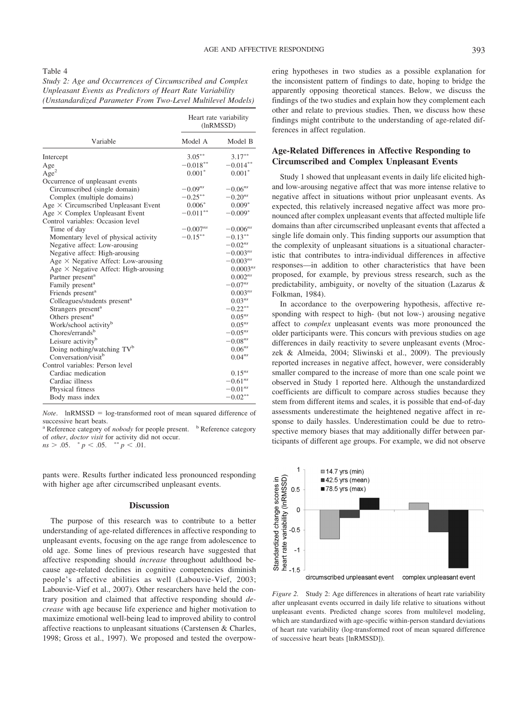Table 4

*Study 2: Age and Occurrences of Circumscribed and Complex Unpleasant Events as Predictors of Heart Rate Variability (Unstandardized Parameter From Two-Level Multilevel Models)*

|                                             | Heart rate variability<br>(lnRMSSD) |                                    |
|---------------------------------------------|-------------------------------------|------------------------------------|
| Variable                                    | Model A                             | Model B                            |
| Intercept                                   | $3.05***$                           | $3.17***$                          |
| Age                                         | $-0.018***$                         | $-0.014**$                         |
| Age <sup>2</sup>                            | $0.001*$                            | $0.001*$                           |
| Occurrence of unpleasant events             |                                     |                                    |
| Circumscribed (single domain)               | $-0.09^{ns}$                        | $-0.06^{ns}$                       |
| Complex (multiple domains)                  | $-0.25***$                          | $-0.20^{ns}$                       |
| Age × Circumscribed Unpleasant Event        | $0.006*$                            | $0.009*$                           |
| Age $\times$ Complex Unpleasant Event       | $-0.011***$                         | $-0.009*$                          |
| Control variables: Occasion level           |                                     |                                    |
| Time of day                                 | $-0.007^{ns}$                       | $-0.006^{ns}$                      |
| Momentary level of physical activity        | $-0.15***$                          | $-0.13***$                         |
| Negative affect: Low-arousing               |                                     | $-0.02^{ns}$                       |
| Negative affect: High-arousing              |                                     | $-0.003^{ns}$                      |
| Age $\times$ Negative Affect: Low-arousing  |                                     | $-0.003^{ns}$                      |
| Age $\times$ Negative Affect: High-arousing |                                     | $0.0003^{ns}$                      |
| Partner present <sup>a</sup>                |                                     | $0.002^{ns}$                       |
| Family present <sup>a</sup>                 |                                     | $-0.07^{ns}$                       |
| Friends present <sup>a</sup>                |                                     | $0.003^{ns}$                       |
| Colleagues/students present <sup>a</sup>    |                                     | $0.03^{ns}$                        |
| Strangers present <sup>a</sup>              |                                     | $-0.22***$                         |
| Others present <sup>a</sup>                 |                                     | $0.05^{\rm \scriptscriptstyle ns}$ |
| Work/school activity <sup>b</sup>           |                                     | $0.05^{\rm \scriptscriptstyle ns}$ |
| Chores/errands <sup>b</sup>                 |                                     | $-0.05^{ns}$                       |
| Leisure activity <sup>b</sup>               |                                     | $-0.08^{ns}$                       |
| Doing nothing/watching TV <sup>b</sup>      |                                     | $0.06^{ns}$                        |
| Conversation/visit <sup>b</sup>             |                                     | $0.04^{ns}$                        |
| Control variables: Person level             |                                     |                                    |
| Cardiac medication                          |                                     | $0.15^{ns}$                        |
| Cardiac illness                             |                                     | $-0.61^{ns}$                       |
| Physical fitness                            |                                     | $-0.01^{ns}$                       |
| Body mass index                             |                                     | $-0.02**$                          |

*Note*.  $lnRMSSD = log-transformed root of mean squared difference of$ successive heart beats.

<sup>a</sup> Reference category of *nobody* for people present. <sup>b</sup> Reference category of *other*, *doctor visit* for activity did not occur.

 $ns > .05.$  *\*p* < .05. *\*\*p* < .01.

pants were. Results further indicated less pronounced responding with higher age after circumscribed unpleasant events.

### **Discussion**

The purpose of this research was to contribute to a better understanding of age-related differences in affective responding to unpleasant events, focusing on the age range from adolescence to old age. Some lines of previous research have suggested that affective responding should *increase* throughout adulthood because age-related declines in cognitive competencies diminish people's affective abilities as well (Labouvie-Vief, 2003; Labouvie-Vief et al., 2007). Other researchers have held the contrary position and claimed that affective responding should *decrease* with age because life experience and higher motivation to maximize emotional well-being lead to improved ability to control affective reactions to unpleasant situations (Carstensen & Charles, 1998; Gross et al., 1997). We proposed and tested the overpowering hypotheses in two studies as a possible explanation for the inconsistent pattern of findings to date, hoping to bridge the apparently opposing theoretical stances. Below, we discuss the findings of the two studies and explain how they complement each other and relate to previous studies. Then, we discuss how these findings might contribute to the understanding of age-related differences in affect regulation.

# **Age-Related Differences in Affective Responding to Circumscribed and Complex Unpleasant Events**

Study 1 showed that unpleasant events in daily life elicited highand low-arousing negative affect that was more intense relative to negative affect in situations without prior unpleasant events. As expected, this relatively increased negative affect was more pronounced after complex unpleasant events that affected multiple life domains than after circumscribed unpleasant events that affected a single life domain only. This finding supports our assumption that the complexity of unpleasant situations is a situational characteristic that contributes to intra-individual differences in affective responses—in addition to other characteristics that have been proposed, for example, by previous stress research, such as the predictability, ambiguity, or novelty of the situation (Lazarus & Folkman, 1984).

In accordance to the overpowering hypothesis, affective responding with respect to high- (but not low-) arousing negative affect to *complex* unpleasant events was more pronounced the older participants were. This concurs with previous studies on age differences in daily reactivity to severe unpleasant events (Mroczek & Almeida, 2004; Sliwinski et al., 2009). The previously reported increases in negative affect, however, were considerably smaller compared to the increase of more than one scale point we observed in Study 1 reported here. Although the unstandardized coefficients are difficult to compare across studies because they stem from different items and scales, it is possible that end-of-day assessments underestimate the heightened negative affect in response to daily hassles. Underestimation could be due to retrospective memory biases that may additionally differ between participants of different age groups. For example, we did not observe



*Figure 2.* Study 2: Age differences in alterations of heart rate variability after unpleasant events occurred in daily life relative to situations without unpleasant events. Predicted change scores from multilevel modeling, which are standardized with age-specific within-person standard deviations of heart rate variability (log-transformed root of mean squared difference of successive heart beats [lnRMSSD]).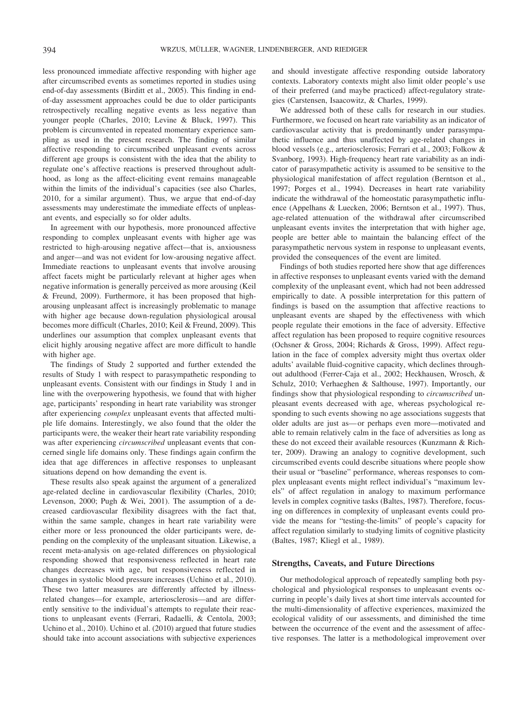less pronounced immediate affective responding with higher age after circumscribed events as sometimes reported in studies using end-of-day assessments (Birditt et al., 2005). This finding in endof-day assessment approaches could be due to older participants retrospectively recalling negative events as less negative than younger people (Charles, 2010; Levine & Bluck, 1997). This problem is circumvented in repeated momentary experience sampling as used in the present research. The finding of similar affective responding to circumscribed unpleasant events across different age groups is consistent with the idea that the ability to regulate one's affective reactions is preserved throughout adulthood, as long as the affect-eliciting event remains manageable within the limits of the individual's capacities (see also Charles, 2010, for a similar argument). Thus, we argue that end-of-day assessments may underestimate the immediate effects of unpleasant events, and especially so for older adults.

In agreement with our hypothesis, more pronounced affective responding to complex unpleasant events with higher age was restricted to high-arousing negative affect—that is, anxiousness and anger—and was not evident for low-arousing negative affect. Immediate reactions to unpleasant events that involve arousing affect facets might be particularly relevant at higher ages when negative information is generally perceived as more arousing (Keil & Freund, 2009). Furthermore, it has been proposed that higharousing unpleasant affect is increasingly problematic to manage with higher age because down-regulation physiological arousal becomes more difficult (Charles, 2010; Keil & Freund, 2009). This underlines our assumption that complex unpleasant events that elicit highly arousing negative affect are more difficult to handle with higher age.

The findings of Study 2 supported and further extended the results of Study 1 with respect to parasympathetic responding to unpleasant events. Consistent with our findings in Study 1 and in line with the overpowering hypothesis, we found that with higher age, participants' responding in heart rate variability was stronger after experiencing *complex* unpleasant events that affected multiple life domains. Interestingly, we also found that the older the participants were, the weaker their heart rate variability responding was after experiencing *circumscribed* unpleasant events that concerned single life domains only. These findings again confirm the idea that age differences in affective responses to unpleasant situations depend on how demanding the event is.

These results also speak against the argument of a generalized age-related decline in cardiovascular flexibility (Charles, 2010; Levenson, 2000; Pugh & Wei, 2001). The assumption of a decreased cardiovascular flexibility disagrees with the fact that, within the same sample, changes in heart rate variability were either more or less pronounced the older participants were, depending on the complexity of the unpleasant situation. Likewise, a recent meta-analysis on age-related differences on physiological responding showed that responsiveness reflected in heart rate changes decreases with age, but responsiveness reflected in changes in systolic blood pressure increases (Uchino et al., 2010). These two latter measures are differently affected by illnessrelated changes—for example, arteriosclerosis—and are differently sensitive to the individual's attempts to regulate their reactions to unpleasant events (Ferrari, Radaelli, & Centola, 2003; Uchino et al., 2010). Uchino et al. (2010) argued that future studies should take into account associations with subjective experiences and should investigate affective responding outside laboratory contexts. Laboratory contexts might also limit older people's use of their preferred (and maybe practiced) affect-regulatory strategies (Carstensen, Isaacowitz, & Charles, 1999).

We addressed both of these calls for research in our studies. Furthermore, we focused on heart rate variability as an indicator of cardiovascular activity that is predominantly under parasympathetic influence and thus unaffected by age-related changes in blood vessels (e.g., arteriosclerosis; Ferrari et al., 2003; Folkow & Svanborg, 1993). High-frequency heart rate variability as an indicator of parasympathetic activity is assumed to be sensitive to the physiological manifestation of affect regulation (Berntson et al., 1997; Porges et al., 1994). Decreases in heart rate variability indicate the withdrawal of the homeostatic parasympathetic influence (Appelhans & Luecken, 2006; Berntson et al., 1997). Thus, age-related attenuation of the withdrawal after circumscribed unpleasant events invites the interpretation that with higher age, people are better able to maintain the balancing effect of the parasympathetic nervous system in response to unpleasant events, provided the consequences of the event are limited.

Findings of both studies reported here show that age differences in affective responses to unpleasant events varied with the demand complexity of the unpleasant event, which had not been addressed empirically to date. A possible interpretation for this pattern of findings is based on the assumption that affective reactions to unpleasant events are shaped by the effectiveness with which people regulate their emotions in the face of adversity. Effective affect regulation has been proposed to require cognitive resources (Ochsner & Gross, 2004; Richards & Gross, 1999). Affect regulation in the face of complex adversity might thus overtax older adults' available fluid-cognitive capacity, which declines throughout adulthood (Ferrer-Caja et al., 2002; Heckhausen, Wrosch, & Schulz, 2010; Verhaeghen & Salthouse, 1997). Importantly, our findings show that physiological responding to *circumscribed* unpleasant events decreased with age, whereas psychological responding to such events showing no age associations suggests that older adults are just as— or perhaps even more—motivated and able to remain relatively calm in the face of adversities as long as these do not exceed their available resources (Kunzmann & Richter, 2009). Drawing an analogy to cognitive development, such circumscribed events could describe situations where people show their usual or "baseline" performance, whereas responses to complex unpleasant events might reflect individual's "maximum levels" of affect regulation in analogy to maximum performance levels in complex cognitive tasks (Baltes, 1987). Therefore, focusing on differences in complexity of unpleasant events could provide the means for "testing-the-limits" of people's capacity for affect regulation similarly to studying limits of cognitive plasticity (Baltes, 1987; Kliegl et al., 1989).

### **Strengths, Caveats, and Future Directions**

Our methodological approach of repeatedly sampling both psychological and physiological responses to unpleasant events occurring in people's daily lives at short time intervals accounted for the multi-dimensionality of affective experiences, maximized the ecological validity of our assessments, and diminished the time between the occurrence of the event and the assessment of affective responses. The latter is a methodological improvement over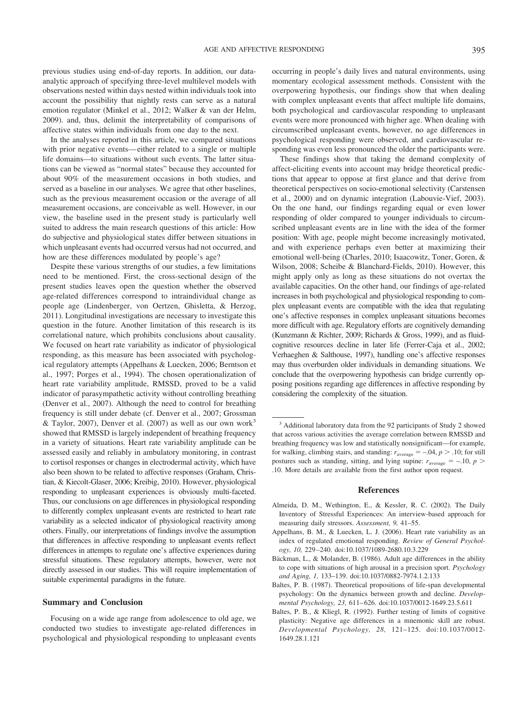previous studies using end-of-day reports. In addition, our dataanalytic approach of specifying three-level multilevel models with observations nested within days nested within individuals took into account the possibility that nightly rests can serve as a natural emotion regulator (Minkel et al., 2012; Walker & van der Helm, 2009). and, thus, delimit the interpretability of comparisons of affective states within individuals from one day to the next.

In the analyses reported in this article, we compared situations with prior negative events— either related to a single or multiple life domains—to situations without such events. The latter situations can be viewed as "normal states" because they accounted for about 90% of the measurement occasions in both studies, and served as a baseline in our analyses. We agree that other baselines, such as the previous measurement occasion or the average of all measurement occasions, are conceivable as well. However, in our view, the baseline used in the present study is particularly well suited to address the main research questions of this article: How do subjective and physiological states differ between situations in which unpleasant events had occurred versus had not occurred, and how are these differences modulated by people's age?

Despite these various strengths of our studies, a few limitations need to be mentioned. First, the cross-sectional design of the present studies leaves open the question whether the observed age-related differences correspond to intraindividual change as people age (Lindenberger, von Oertzen, Ghisletta, & Herzog, 2011). Longitudinal investigations are necessary to investigate this question in the future. Another limitation of this research is its correlational nature, which prohibits conclusions about causality. We focused on heart rate variability as indicator of physiological responding, as this measure has been associated with psychological regulatory attempts (Appelhans & Luecken, 2006; Berntson et al., 1997; Porges et al., 1994). The chosen operationalization of heart rate variability amplitude, RMSSD, proved to be a valid indicator of parasympathetic activity without controlling breathing (Denver et al., 2007). Although the need to control for breathing frequency is still under debate (cf. Denver et al., 2007; Grossman & Taylor, 2007), Denver et al. (2007) as well as our own work<sup>3</sup> showed that RMSSD is largely independent of breathing frequency in a variety of situations. Heart rate variability amplitude can be assessed easily and reliably in ambulatory monitoring, in contrast to cortisol responses or changes in electrodermal activity, which have also been shown to be related to affective responses (Graham, Christian, & Kiecolt-Glaser, 2006; Kreibig, 2010). However, physiological responding to unpleasant experiences is obviously multi-faceted. Thus, our conclusions on age differences in physiological responding to differently complex unpleasant events are restricted to heart rate variability as a selected indicator of physiological reactivity among others. Finally, our interpretations of findings involve the assumption that differences in affective responding to unpleasant events reflect differences in attempts to regulate one's affective experiences during stressful situations. These regulatory attempts, however, were not directly assessed in our studies. This will require implementation of suitable experimental paradigms in the future.

### **Summary and Conclusion**

Focusing on a wide age range from adolescence to old age, we conducted two studies to investigate age-related differences in psychological and physiological responding to unpleasant events

occurring in people's daily lives and natural environments, using momentary ecological assessment methods. Consistent with the overpowering hypothesis, our findings show that when dealing with complex unpleasant events that affect multiple life domains, both psychological and cardiovascular responding to unpleasant events were more pronounced with higher age. When dealing with circumscribed unpleasant events, however, no age differences in psychological responding were observed, and cardiovascular responding was even less pronounced the older the participants were.

These findings show that taking the demand complexity of affect-eliciting events into account may bridge theoretical predictions that appear to oppose at first glance and that derive from theoretical perspectives on socio-emotional selectivity (Carstensen et al., 2000) and on dynamic integration (Labouvie-Vief, 2003). On the one hand, our findings regarding equal or even lower responding of older compared to younger individuals to circumscribed unpleasant events are in line with the idea of the former position: With age, people might become increasingly motivated, and with experience perhaps even better at maximizing their emotional well-being (Charles, 2010; Isaacowitz, Toner, Goren, & Wilson, 2008; Scheibe & Blanchard-Fields, 2010). However, this might apply only as long as these situations do not overtax the available capacities. On the other hand, our findings of age-related increases in both psychological and physiological responding to complex unpleasant events are compatible with the idea that regulating one's affective responses in complex unpleasant situations becomes more difficult with age. Regulatory efforts are cognitively demanding (Kunzmann & Richter, 2009; Richards & Gross, 1999), and as fluidcognitive resources decline in later life (Ferrer-Caja et al., 2002; Verhaeghen & Salthouse, 1997), handling one's affective responses may thus overburden older individuals in demanding situations. We conclude that the overpowering hypothesis can bridge currently opposing positions regarding age differences in affective responding by considering the complexity of the situation.

### **References**

- Almeida, D. M., Wethington, E., & Kessler, R. C. (2002). The Daily Inventory of Stressful Experiences: An interview-based approach for measuring daily stressors. *Assessment, 9,* 41–55.
- Appelhans, B. M., & Luecken, L. J. (2006). Heart rate variability as an index of regulated emotional responding. *Review of General Psychology, 10,* 229 –240. [doi:10.1037/1089-2680.10.3.229](http://dx.doi.org/10.1037/1089-2680.10.3.229)
- Bäckman, L., & Molander, B. (1986). Adult age differences in the ability to cope with situations of high arousal in a precision sport. *Psychology and Aging, 1,* 133–139. [doi:10.1037/0882-7974.1.2.133](http://dx.doi.org/10.1037/0882-7974.1.2.133)
- Baltes, P. B. (1987). Theoretical propositions of life-span developmental psychology: On the dynamics between growth and decline. *Developmental Psychology, 23,* 611– 626. [doi:10.1037/0012-1649.23.5.611](http://dx.doi.org/10.1037/0012-1649.23.5.611)
- Baltes, P. B., & Kliegl, R. (1992). Further testing of limits of cognitive plasticity: Negative age differences in a mnemonic skill are robust. *Developmental Psychology, 28,* 121–125. [doi:10.1037/0012-](http://dx.doi.org/10.1037/0012-1649.28.1.121) [1649.28.1.121](http://dx.doi.org/10.1037/0012-1649.28.1.121)

<sup>3</sup> Additional laboratory data from the 92 participants of Study 2 showed that across various activities the average correlation between RMSSD and breathing frequency was low and statistically nonsignificant—for example, for walking, climbing stairs, and standing:  $r_{\text{average}} = -0.04$ ,  $p > 0.10$ ; for still postures such as standing, sitting, and lying supine:  $r_{\text{average}} = -.10, p >$ .10. More details are available from the first author upon request.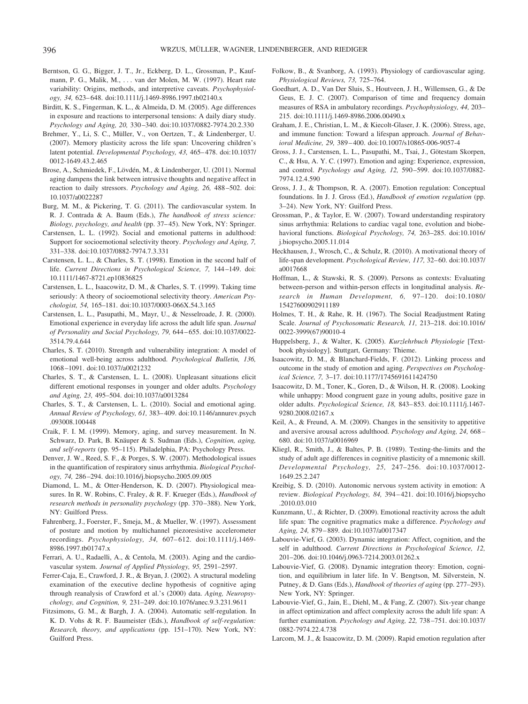- Berntson, G. G., Bigger, J. T., Jr., Eckberg, D. L., Grossman, P., Kaufmann, P. G., Malik, M., . . . van der Molen, M. W. (1997). Heart rate variability: Origins, methods, and interpretive caveats. *Psychophysiology, 34,* 623– 648. [doi:10.1111/j.1469-8986.1997.tb02140.x](http://dx.doi.org/10.1111/j.1469-8986.1997.tb02140.x)
- Birditt, K. S., Fingerman, K. L., & Almeida, D. M. (2005). Age differences in exposure and reactions to interpersonal tensions: A daily diary study. *Psychology and Aging, 20,* 330 –340. [doi:10.1037/0882-7974.20.2.330](http://dx.doi.org/10.1037/0882-7974.20.2.330)
- Brehmer, Y., Li, S. C., Müller, V., von Oertzen, T., & Lindenberger, U. (2007). Memory plasticity across the life span: Uncovering children's latent potential. *Developmental Psychology, 43, 465-478*. [doi:10.1037/](http://dx.doi.org/10.1037/0012-1649.43.2.465) [0012-1649.43.2.465](http://dx.doi.org/10.1037/0012-1649.43.2.465)
- Brose, A., Schmiedek, F., Lövdén, M., & Lindenberger, U. (2011). Normal aging dampens the link between intrusive thoughts and negative affect in reaction to daily stressors. *Psychology and Aging, 26,* 488 –502. [doi:](http://dx.doi.org/10.1037/a0022287) [10.1037/a0022287](http://dx.doi.org/10.1037/a0022287)
- Burg, M. M., & Pickering, T. G. (2011). The cardiovascular system. In R. J. Contrada & A. Baum (Eds.), *The handbook of stress science: Biology, psychology, and health* (pp. 37– 45). New York, NY: Springer.
- Carstensen, L. L. (1992). Social and emotional patterns in adulthood: Support for socioemotional selectivity theory. *Psychology and Aging, 7,* 331–338. [doi:10.1037/0882-7974.7.3.331](http://dx.doi.org/10.1037/0882-7974.7.3.331)
- Carstensen, L. L., & Charles, S. T. (1998). Emotion in the second half of life. *Current Directions in Psychological Science, 7,* 144 –149. [doi:](http://dx.doi.org/10.1111/1467-8721.ep10836825) [10.1111/1467-8721.ep10836825](http://dx.doi.org/10.1111/1467-8721.ep10836825)
- Carstensen, L. L., Isaacowitz, D. M., & Charles, S. T. (1999). Taking time seriously: A theory of socioemotional selectivity theory. *American Psychologist, 54,* 165–181. [doi:10.1037/0003-066X.54.3.165](http://dx.doi.org/10.1037/0003-066X.54.3.165)
- Carstensen, L. L., Pasupathi, M., Mayr, U., & Nesselroade, J. R. (2000). Emotional experience in everyday life across the adult life span. *Journal of Personality and Social Psychology, 79,* 644 – 655. [doi:10.1037/0022-](http://dx.doi.org/10.1037/0022-3514.79.4.644) [3514.79.4.644](http://dx.doi.org/10.1037/0022-3514.79.4.644)
- Charles, S. T. (2010). Strength and vulnerability integration: A model of emotional well-being across adulthood. *Psychological Bulletin, 136,* 1068 –1091. [doi:10.1037/a0021232](http://dx.doi.org/10.1037/a0021232)
- Charles, S. T., & Carstensen, L. L. (2008). Unpleasant situations elicit different emotional responses in younger and older adults. *Psychology and Aging, 23,* 495–504. [doi:10.1037/a0013284](http://dx.doi.org/10.1037/a0013284)
- Charles, S. T., & Carstensen, L. L. (2010). Social and emotional aging. *Annual Review of Psychology, 61,* 383– 409. [doi:10.1146/annurev.psych](http://dx.doi.org/10.1146/annurev.psych.093008.100448) [.093008.100448](http://dx.doi.org/10.1146/annurev.psych.093008.100448)
- Craik, F. I. M. (1999). Memory, aging, and survey measurement. In N. Schwarz, D. Park, B. Knäuper & S. Sudman (Eds.), *Cognition, aging, and self-reports* (pp. 95–115). Philadelphia, PA: Psychology Press.
- Denver, J. W., Reed, S. F., & Porges, S. W. (2007). Methodological issues in the quantification of respiratory sinus arrhythmia. *Biological Psychology, 74,* 286 –294. [doi:10.1016/j.biopsycho.2005.09.005](http://dx.doi.org/10.1016/j.biopsycho.2005.09.005)
- Diamond, L. M., & Otter-Henderson, K. D. (2007). Physiological measures. In R. W. Robins, C. Fraley, & R. F. Krueger (Eds.), *Handbook of research methods in personality psychology* (pp. 370 –388). New York, NY: Guilford Press.
- Fahrenberg, J., Foerster, F., Smeja, M., & Mueller, W. (1997). Assessment of posture and motion by multichannel piezoresistive accelerometer recordings. *Psychophysiology*, 34, 607–612. [doi:10.1111/j.1469-](http://dx.doi.org/10.1111/j.1469-8986.1997.tb01747.x) [8986.1997.tb01747.x](http://dx.doi.org/10.1111/j.1469-8986.1997.tb01747.x)
- Ferrari, A. U., Radaelli, A., & Centola, M. (2003). Aging and the cardiovascular system. *Journal of Applied Physiology, 95,* 2591–2597.
- Ferrer-Caja, E., Crawford, J. R., & Bryan, J. (2002). A structural modeling examination of the executive decline hypothesis of cognitive aging through reanalysis of Crawford et al.'s (2000) data. *Aging, Neuropsychology, and Cognition, 9,* 231–249. [doi:10.1076/anec.9.3.231.9611](http://dx.doi.org/10.1076/anec.9.3.231.9611)
- Fitzsimons, G. M., & Bargh, J. A. (2004). Automatic self-regulation. In K. D. Vohs & R. F. Baumeister (Eds.), *Handbook of self-regulation: Research, theory, and applications* (pp. 151–170). New York, NY: Guilford Press.
- Folkow, B., & Svanborg, A. (1993). Physiology of cardiovascular aging. *Physiological Reviews, 73,* 725–764.
- Goedhart, A. D., Van Der Sluis, S., Houtveen, J. H., Willemsen, G., & De Geus, E. J. C. (2007). Comparison of time and frequency domain measures of RSA in ambulatory recordings. *Psychophysiology, 44,* 203– 215. [doi:10.1111/j.1469-8986.2006.00490.x](http://dx.doi.org/10.1111/j.1469-8986.2006.00490.x)
- Graham, J. E., Christian, L. M., & Kiecolt-Glaser, J. K. (2006). Stress, age, and immune function: Toward a lifespan approach. *Journal of Behavioral Medicine, 29,* 389 – 400. [doi:10.1007/s10865-006-9057-4](http://dx.doi.org/10.1007/s10865-006-9057-4)
- Gross, J. J., Carstensen, L. L., Pasupathi, M., Tsai, J., Götestam Skorpen, C., & Hsu, A. Y. C. (1997). Emotion and aging: Experience, expression, and control. *Psychology and Aging, 12,* 590 –599. [doi:10.1037/0882-](http://dx.doi.org/10.1037/0882-7974.12.4.590) [7974.12.4.590](http://dx.doi.org/10.1037/0882-7974.12.4.590)
- Gross, J. J., & Thompson, R. A. (2007). Emotion regulation: Conceptual foundations. In J. J. Gross (Ed.), *Handbook of emotion regulation* (pp. 3–24). New York, NY: Guilford Press.
- Grossman, P., & Taylor, E. W. (2007). Toward understanding respiratory sinus arrhythmia: Relations to cardiac vagal tone, evolution and biobehavioral functions. *Biological Psychology, 74,* 263–285. [doi:10.1016/](http://dx.doi.org/10.1016/j.biopsycho.2005.11.014) [j.biopsycho.2005.11.014](http://dx.doi.org/10.1016/j.biopsycho.2005.11.014)
- Heckhausen, J., Wrosch, C., & Schulz, R. (2010). A motivational theory of life-span development. *Psychological Review, 117, 32*-60. [doi:10.1037/](http://dx.doi.org/10.1037/a0017668) [a0017668](http://dx.doi.org/10.1037/a0017668)
- Hoffman, L., & Stawski, R. S. (2009). Persons as contexts: Evaluating between-person and within-person effects in longitudinal analysis. *Research in Human Development, 6,* 97–120. [doi:10.1080/](http://dx.doi.org/10.1080/15427600902911189) [15427600902911189](http://dx.doi.org/10.1080/15427600902911189)
- Holmes, T. H., & Rahe, R. H. (1967). The Social Readjustment Rating Scale. *Journal of Psychosomatic Research, 11,* 213–218. [doi:10.1016/](http://dx.doi.org/10.1016/0022-3999%2867%2990010-4) [0022-3999\(67\)90010-4](http://dx.doi.org/10.1016/0022-3999%2867%2990010-4)
- Huppelsberg, J., & Walter, K. (2005). *Kurzlehrbuch Physiologie* [Textbook physiology]. Stuttgart, Germany: Thieme.
- Isaacowitz, D. M., & Blanchard-Fields, F. (2012). Linking process and outcome in the study of emotion and aging. *Perspectives on Psychological Science, 7,* 3–17. [doi:10.1177/1745691611424750](http://dx.doi.org/10.1177/1745691611424750)
- Isaacowitz, D. M., Toner, K., Goren, D., & Wilson, H. R. (2008). Looking while unhappy: Mood congruent gaze in young adults, positive gaze in older adults. *Psychological Science, 18,* 843– 853. [doi:10.1111/j.1467-](http://dx.doi.org/10.1111/j.1467-9280.2008.02167.x) [9280.2008.02167.x](http://dx.doi.org/10.1111/j.1467-9280.2008.02167.x)
- Keil, A., & Freund, A. M. (2009). Changes in the sensitivity to appetitive and aversive arousal across adulthood. *Psychology and Aging, 24,* 668 – 680. [doi:10.1037/a0016969](http://dx.doi.org/10.1037/a0016969)
- Kliegl, R., Smith, J., & Baltes, P. B. (1989). Testing-the-limits and the study of adult age differences in cognitive plasticity of a mnemonic skill. *Developmental Psychology, 25,* 247–256. [doi:10.1037/0012-](http://dx.doi.org/10.1037/0012-1649.25.2.247) [1649.25.2.247](http://dx.doi.org/10.1037/0012-1649.25.2.247)
- Kreibig, S. D. (2010). Autonomic nervous system activity in emotion: A review. *Biological Psychology, 84,* 394 – 421. [doi:10.1016/j.biopsycho](http://dx.doi.org/10.1016/j.biopsycho.2010.03.010) [.2010.03.010](http://dx.doi.org/10.1016/j.biopsycho.2010.03.010)
- Kunzmann, U., & Richter, D. (2009). Emotional reactivity across the adult life span: The cognitive pragmatics make a difference. *Psychology and Aging, 24,* 879 – 889. [doi:10.1037/a0017347](http://dx.doi.org/10.1037/a0017347)
- Labouvie-Vief, G. (2003). Dynamic integration: Affect, cognition, and the self in adulthood. *Current Directions in Psychological Science, 12,* 201–206. [doi:10.1046/j.0963-7214.2003.01262.x](http://dx.doi.org/10.1046/j.0963-7214.2003.01262.x)
- Labouvie-Vief, G. (2008). Dynamic integration theory: Emotion, cognition, and equilibrium in later life. In V. Bengtson, M. Silverstein, N. Putney, & D. Gans (Eds.), *Handbook of theories of aging* (pp. 277–293). New York, NY: Springer.
- Labouvie-Vief, G., Jain, E., Diehl, M., & Fang, Z. (2007). Six-year change in affect optimization and affect complexity across the adult life span: A further examination. *Psychology and Aging, 22,* 738 –751. [doi:10.1037/](http://dx.doi.org/10.1037/0882-7974.22.4.738) [0882-7974.22.4.738](http://dx.doi.org/10.1037/0882-7974.22.4.738)
- Larcom, M. J., & Isaacowitz, D. M. (2009). Rapid emotion regulation after